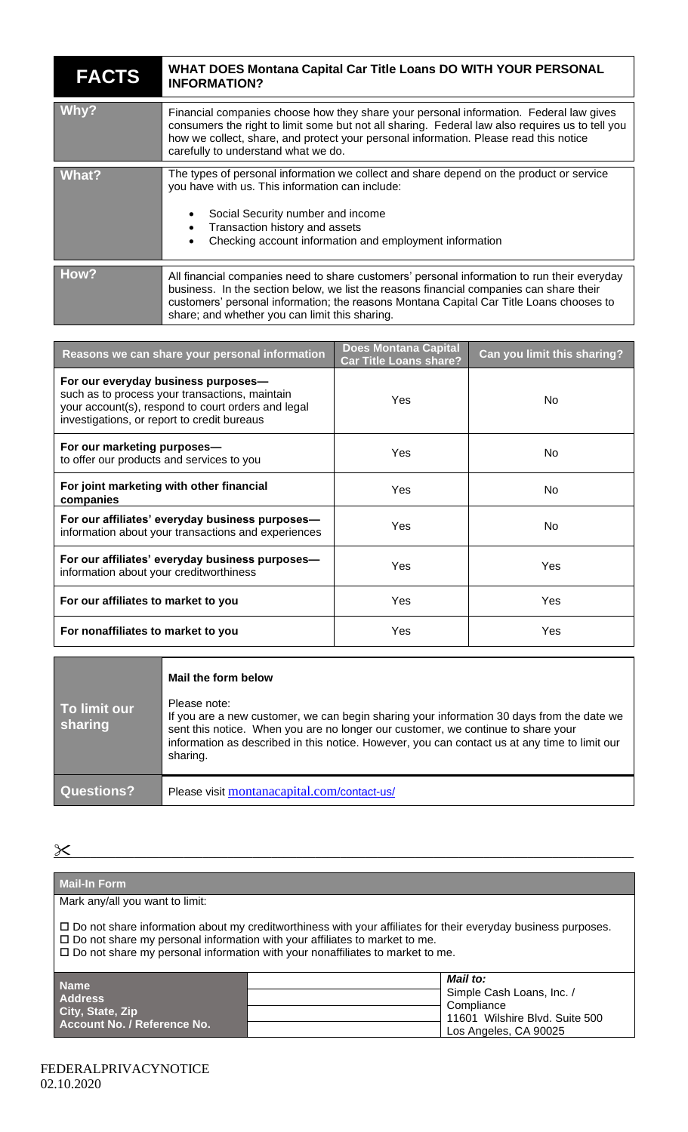## **FACTS WHAT DOES Montana Capital Car Title Loans DO WITH YOUR PERSONAL INFORMATION?**

| Why?  | Financial companies choose how they share your personal information. Federal law gives<br>consumers the right to limit some but not all sharing. Federal law also requires us to tell you<br>how we collect, share, and protect your personal information. Please read this notice                                                  |  |
|-------|-------------------------------------------------------------------------------------------------------------------------------------------------------------------------------------------------------------------------------------------------------------------------------------------------------------------------------------|--|
|       | carefully to understand what we do.                                                                                                                                                                                                                                                                                                 |  |
| What? | The types of personal information we collect and share depend on the product or service<br>you have with us. This information can include:<br>Social Security number and income<br>$\bullet$<br>Transaction history and assets<br>Checking account information and employment information                                           |  |
|       |                                                                                                                                                                                                                                                                                                                                     |  |
| How?  | All financial companies need to share customers' personal information to run their everyday<br>business. In the section below, we list the reasons financial companies can share their<br>customers' personal information; the reasons Montana Capital Car Title Loans chooses to<br>share; and whether you can limit this sharing. |  |

| Reasons we can share your personal information                                                                                                                                             | <b>Does Montana Capital</b><br><b>Car Title Loans share?</b> | Can you limit this sharing? |
|--------------------------------------------------------------------------------------------------------------------------------------------------------------------------------------------|--------------------------------------------------------------|-----------------------------|
| For our everyday business purposes-<br>such as to process your transactions, maintain<br>your account(s), respond to court orders and legal<br>investigations, or report to credit bureaus | Yes                                                          | No.                         |
| For our marketing purposes-<br>to offer our products and services to you                                                                                                                   | Yes                                                          | No.                         |
| For joint marketing with other financial<br>companies                                                                                                                                      | Yes                                                          | No.                         |
| For our affiliates' everyday business purposes-<br>information about your transactions and experiences                                                                                     | Yes                                                          | No.                         |
| For our affiliates' everyday business purposes-<br>information about your creditworthiness                                                                                                 | Yes                                                          | <b>Yes</b>                  |
| For our affiliates to market to you                                                                                                                                                        | Yes                                                          | Yes                         |
| For nonaffiliates to market to you                                                                                                                                                         | Yes                                                          | Yes                         |

|                         | Mail the form below                                                                                                                                                                                                                                                                                        |
|-------------------------|------------------------------------------------------------------------------------------------------------------------------------------------------------------------------------------------------------------------------------------------------------------------------------------------------------|
| To limit our<br>sharing | Please note:<br>If you are a new customer, we can begin sharing your information 30 days from the date we<br>sent this notice. When you are no longer our customer, we continue to share your<br>information as described in this notice. However, you can contact us at any time to limit our<br>sharing. |
| <b>Questions?</b>       | Please visit montanacapital.com/contact-us/                                                                                                                                                                                                                                                                |

 $\underline{\mathcal{X}}$  , and the contract of the contract of the contract of the contract of the contract of the contract of the contract of the contract of the contract of the contract of the contract of the contract of the contrac

| <b>Mail-In Form</b>                                                                                                                                                                                                                                                                                        |                                |  |  |  |  |  |
|------------------------------------------------------------------------------------------------------------------------------------------------------------------------------------------------------------------------------------------------------------------------------------------------------------|--------------------------------|--|--|--|--|--|
| Mark any/all you want to limit:                                                                                                                                                                                                                                                                            |                                |  |  |  |  |  |
| $\square$ Do not share information about my creditworthiness with your affiliates for their everyday business purposes.<br>$\square$ Do not share my personal information with your affiliates to market to me.<br>$\square$ Do not share my personal information with your nonaffiliates to market to me. |                                |  |  |  |  |  |
| <b>Name</b>                                                                                                                                                                                                                                                                                                | Mail to:                       |  |  |  |  |  |
| <b>Address</b>                                                                                                                                                                                                                                                                                             | Simple Cash Loans, Inc. /      |  |  |  |  |  |
| City, State, Zip                                                                                                                                                                                                                                                                                           | Compliance                     |  |  |  |  |  |
| Account No. / Reference No.                                                                                                                                                                                                                                                                                | 11601 Wilshire Blvd. Suite 500 |  |  |  |  |  |
|                                                                                                                                                                                                                                                                                                            | Los Angeles, CA 90025          |  |  |  |  |  |